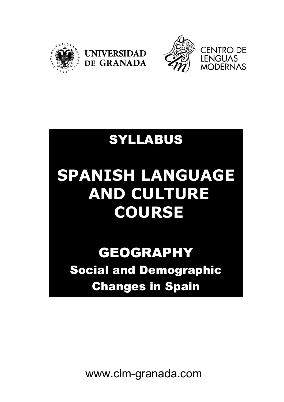



### SYLLABUS

**UNIVERSIDAD** 

DE GRANADA

# **SPANISH LANGUAGE AND CULTURE COURSE**

## GEOGRAPHY Social and Demographic Changes in Spain

www.clm-granada.com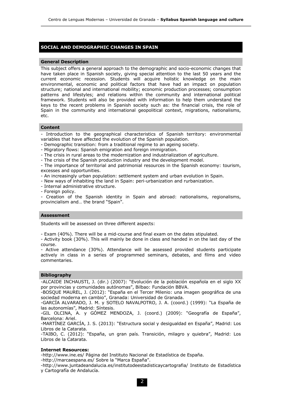#### **SOCIAL AND DEMOGRAPHIC CHANGES IN SPAIN**

#### **General Description**

This subject offers a general approach to the demographic and socio-economic changes that have taken place in Spanish society, giving special attention to the last 50 years and the current economic recession. Students will acquire holistic knowledge on the main environmental, economic and political factors that have had an impact on population structure; national and international mobility; economic production processes; consumption patterns and lifestyles; and relations within the community and international political framework. Students will also be provided with information to help them understand the keys to the recent problems in Spanish society such as: the financial crisis, the role of Spain in the community and international geopolitical context, migrations, nationalisms, etc.

#### **Content**

Introduction to the geographical characteristics of Spanish territory: environmental variables that have affected the evolution of the Spanish population.

- Demographic transition: from a traditional regime to an ageing society.

- Migratory flows: Spanish emigration and foreign immigration.

- The crisis in rural areas to the modernization and industrialization of agriculture.

- The crisis of the Spanish production industry and the development model.

- The importance of territorial and patrimonial resources in the Spanish economy: tourism, excesses and opportunities.

- An increasingly urban population: settlement system and urban evolution in Spain.

- New ways of inhabiting the land in Spain: peri-urbanization and rurbanization.

- Internal administrative structure.

- Foreign policy.

- Creation of the Spanish identity in Spain and abroad: nationalisms, regionalisms, provincialism and… the brand "Spain".

#### **Assessment**

Students will be assessed on three different aspects:

- Exam (40%). There will be a mid-course and final exam on the dates stipulated.

- Activity book (30%). This will mainly be done in class and handed in on the last day of the course.

- Active attendance (30%). Attendance will be assessed provided students participate actively in class in a series of programmed seminars, debates, and films and video commentaries.

#### **Bibliography**

-ALCAIDE INCHAUSTI, J. (dir.) (2007): "Evolución de la población española en el siglo XX por provincias y comunidades autónomas", Bilbao: Fundación BBVA.

-BOSQUE MAUREL, J. (2012): "España en el Tercer Milenio: una imagen geográfica de una sociedad moderna en cambio", Granada: Universidad de Granada.

-GARCÍA ALVARADO, J. M. y SOTELO NAVALPOTRO, J. A. (coord.) (1999): "La España de las autonomías", Madrid: Síntesis.

-GIL OLCINA, A. y GÓMEZ MENDOZA, J. (coord.) (2009): "Geografía de España", Barcelona: Ariel.

-MARTÍNEZ GARCÍA, J. S. (2013): "Estructura social y desigualdad en España", Madrid: Los Libros de la Catarata.

-TAIBO, C. (2012): "España, un gran país. Transición, milagro y quiebra", Madrid: Los Libros de la Catarata.

#### **Internet Resources:**

-http://www.ine.es/ Página del Instituto Nacional de Estadística de España.

-http://marcaespana.es/ Sobre la "Marca España".

-http://www.juntadeandalucia.es/institutodeestadisticaycartografia/ Instituto de Estadística y Cartografía de Andalucía.